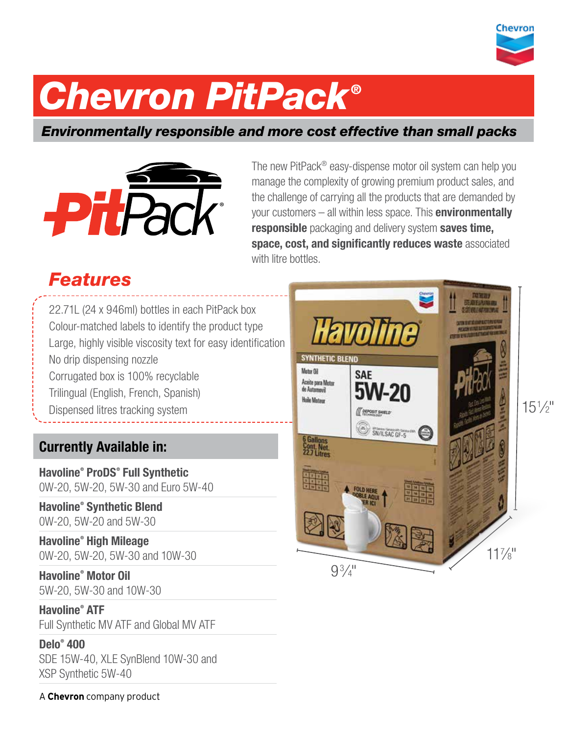

# *Chevron PitPack ®*

# *Environmentally responsible and more cost effective than small packs*



The new PitPack® easy-dispense motor oil system can help you manage the complexity of growing premium product sales, and the challenge of carrying all the products that are demanded by your customers  $-$  all within less space. This **environmentally** responsible packaging and delivery system saves time, space, cost, and significantly reduces waste associated with litre bottles.

# *Features*

22.71L (24 x 946ml) bottles in each PitPack box Colour-matched labels to identify the product type Large, highly visible viscosity text for easy identification No drip dispensing nozzle Corrugated box is 100% recyclable Trilingual (English, French, Spanish) Dispensed litres tracking system

# Currently Available in:

Havoline® ProDS® Full Synthetic 0W-20, 5W-20, 5W-30 and Euro 5W-40

Havoline® Synthetic Blend 0W-20, 5W-20 and 5W-30

Havoline® High Mileage 0W-20, 5W-20, 5W-30 and 10W-30

Havoline® Motor Oil 5W-20, 5W-30 and 10W-30

Havoline® ATF Full Synthetic MV ATF and Global MV ATF

### Delo® 400

SDE 15W-40, XLE SynBlend 10W-30 and XSP Synthetic 5W-40



A **Chevron** company product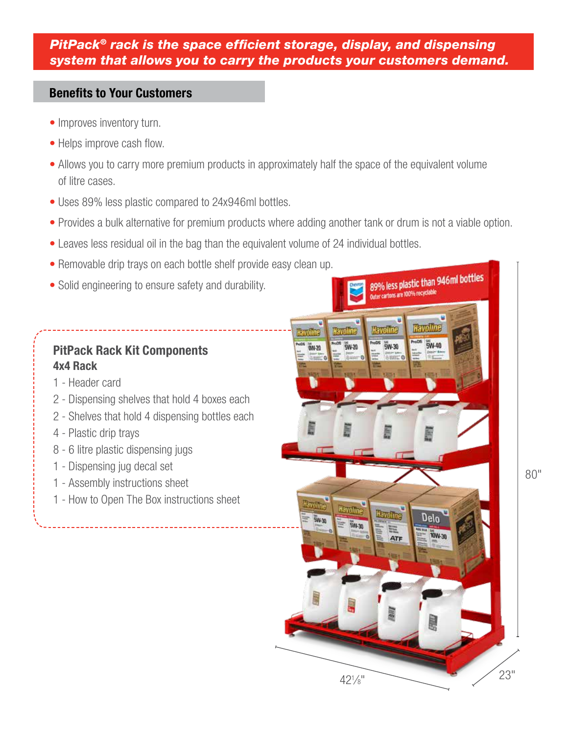### *PitPack® rack is the space efficient storage, display, and dispensing system that allows you to carry the products your customers demand.*

### Benefits to Your Customers

- Improves inventory turn.
- Helps improve cash flow.
- Allows you to carry more premium products in approximately half the space of the equivalent volume of litre cases.
- Uses 89% less plastic compared to 24x946ml bottles.
- Provides a bulk alternative for premium products where adding another tank or drum is not a viable option.
- Leaves less residual oil in the bag than the equivalent volume of 24 individual bottles.
- Removable drip trays on each bottle shelf provide easy clean up.
- Solid engineering to ensure safety and durability.

### PitPack Rack Kit Components 4x4 Rack

- 1 Header card
- 2 Dispensing shelves that hold 4 boxes each
- 2 Shelves that hold 4 dispensing bottles each
- 4 Plastic drip trays
- 8 6 litre plastic dispensing jugs
- 1 Dispensing jug decal set
- 1 Assembly instructions sheet
- 1 How to Open The Box instructions sheet



80"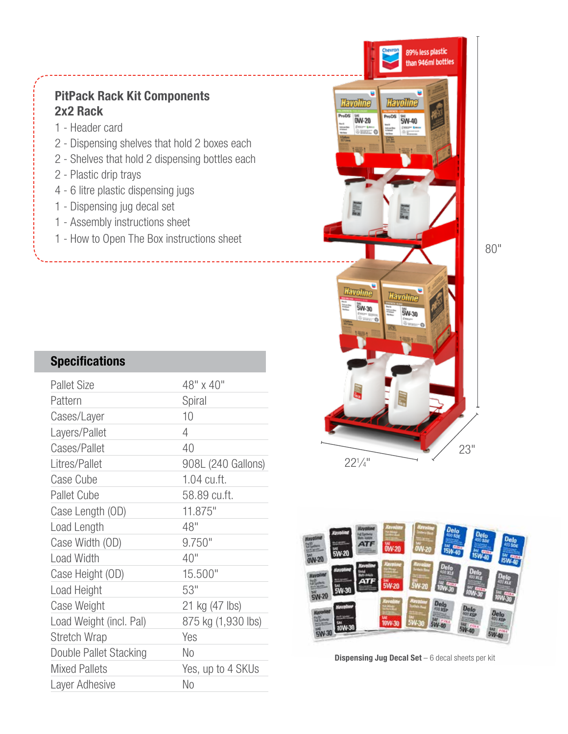## PitPack Rack Kit Components 2x2 Rack

- 1 Header card
- 2 Dispensing shelves that hold 2 boxes each
- 2 Shelves that hold 2 dispensing bottles each
- 2 Plastic drip trays
- 4 6 litre plastic dispensing jugs
- 1 Dispensing jug decal set
- 1 Assembly instructions sheet
- 

## **Specifications**

| <b>Pallet Size</b>      | 48" x 40"          |
|-------------------------|--------------------|
| Pattern                 | Spiral             |
| Cases/Layer             | 10                 |
| Layers/Pallet           | 4                  |
| Cases/Pallet            | 40                 |
| Litres/Pallet           | 908L (240 Gallons) |
| Case Cube               | 1.04 cu.ft.        |
| <b>Pallet Cube</b>      | 58.89 cu.ft.       |
| Case Length (OD)        | 11.875"            |
| Load Length             | 48"                |
| Case Width (OD)         | 9.750"             |
| <b>Load Width</b>       | 40"                |
| Case Height (OD)        | 15.500"            |
| Load Height             | 53"                |
| Case Weight             | 21 kg (47 lbs)     |
| Load Weight (incl. Pal) | 875 kg (1,930 lbs) |
| <b>Stretch Wrap</b>     | Yes                |
| Double Pallet Stacking  | No                 |
| <b>Mixed Pallets</b>    | Yes, up to 4 SKUs  |
| Layer Adhesive          | No                 |
|                         |                    |





**Dispensing Jug Decal Set**  $-6$  decal sheets per kit